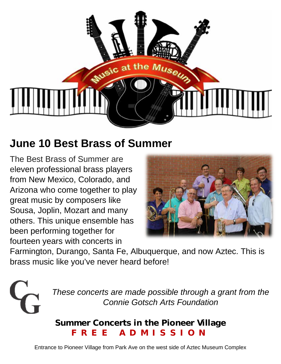

## **June 10 Best Brass of Summer**

The Best Brass of Summer are eleven professional brass players from New Mexico, Colorado, and Arizona who come together to play great music by composers like Sousa, Joplin, Mozart and many others. This unique ensemble has been performing together for fourteen years with concerts in



Farmington, Durango, Santa Fe, Albuquerque, and now Aztec. This is brass music like you've never heard before!



*These concerts are made possible through a grant from the Connie Gotsch Arts Foundation*

#### **Summer Concerts in the Pioneer Village FREE ADMISSION**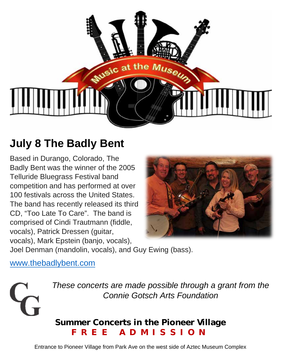

# **July 8 The Badly Bent**

Based in Durango, Colorado, The Badly Bent was the winner of the 2005 Telluride Bluegrass Festival band competition and has performed at over 100 festivals across the United States. The band has recently released its third CD, "Too Late To Care". The band is comprised of Cindi Trautmann (fiddle, vocals), Patrick Dressen (guitar, vocals), Mark Epstein (banjo, vocals),



Joel Denman (mandolin, vocals), and Guy Ewing (bass).

www.thebadlybent.com



*These concerts are made possible through a grant from the Connie Gotsch Arts Foundation*

#### **Summer Concerts in the Pioneer Village FREE ADMISSION**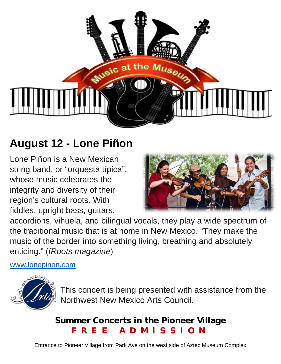

## **August 12 - Lone Piñon**

Lone Piñon is a New Mexican string band, or "orquesta típica", whose music celebrates the integrity and diversity of their region's cultural roots. With fiddles, upright bass, guitars,



accordions, vihuela, and bilingual vocals, they play a wide spectrum of the traditional music that is at home in New Mexico. "They make the music of the border into something living, breathing and absolutely enticing." (*fRoots magazine*)

www.lonepinon.com



This concert is being presented with assistance from the Northwest New Mexico Arts Council.

### **Summer Concerts in the Pioneer Village FREE ADMISSION**